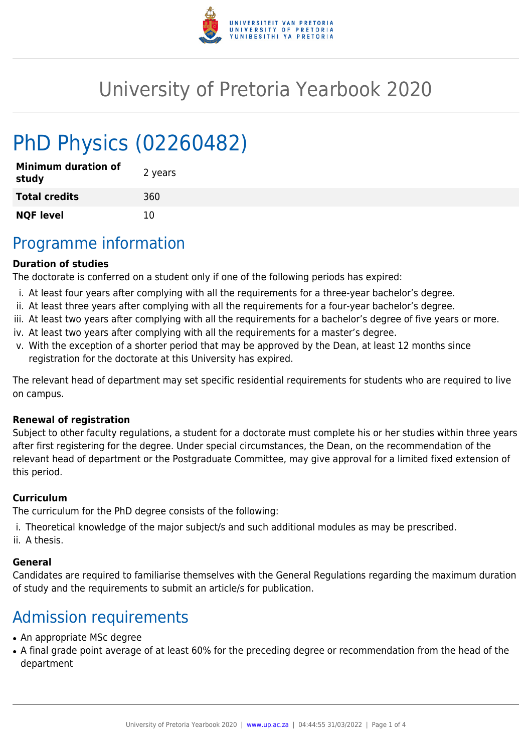

# University of Pretoria Yearbook 2020

# PhD Physics (02260482)

| <b>Minimum duration of</b><br>study | 2 years |
|-------------------------------------|---------|
| <b>Total credits</b>                | 360     |
| <b>NQF level</b>                    | 10      |

### Programme information

#### **Duration of studies**

The doctorate is conferred on a student only if one of the following periods has expired:

- i. At least four years after complying with all the requirements for a three-year bachelor's degree.
- ii. At least three years after complying with all the requirements for a four-year bachelor's degree.
- iii. At least two years after complying with all the requirements for a bachelor's degree of five years or more.
- iv. At least two years after complying with all the requirements for a master's degree.
- v. With the exception of a shorter period that may be approved by the Dean, at least 12 months since registration for the doctorate at this University has expired.

The relevant head of department may set specific residential requirements for students who are required to live on campus.

#### **Renewal of registration**

Subject to other faculty regulations, a student for a doctorate must complete his or her studies within three years after first registering for the degree. Under special circumstances, the Dean, on the recommendation of the relevant head of department or the Postgraduate Committee, may give approval for a limited fixed extension of this period.

#### **Curriculum**

The curriculum for the PhD degree consists of the following:

- i. Theoretical knowledge of the major subject/s and such additional modules as may be prescribed.
- ii. A thesis.

#### **General**

Candidates are required to familiarise themselves with the General Regulations regarding the maximum duration of study and the requirements to submit an article/s for publication.

# Admission requirements

- An appropriate MSc degree
- A final grade point average of at least 60% for the preceding degree or recommendation from the head of the department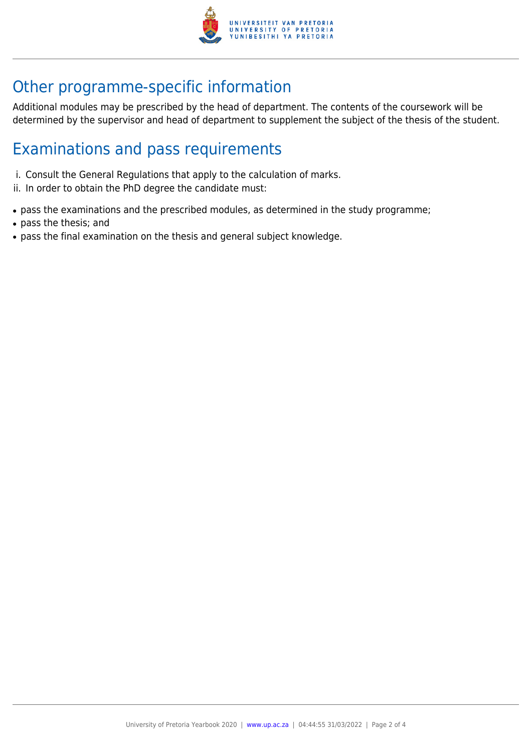

# Other programme-specific information

Additional modules may be prescribed by the head of department. The contents of the coursework will be determined by the supervisor and head of department to supplement the subject of the thesis of the student.

## Examinations and pass requirements

- i. Consult the General Regulations that apply to the calculation of marks.
- ii. In order to obtain the PhD degree the candidate must:
- pass the examinations and the prescribed modules, as determined in the study programme;
- pass the thesis; and
- pass the final examination on the thesis and general subject knowledge.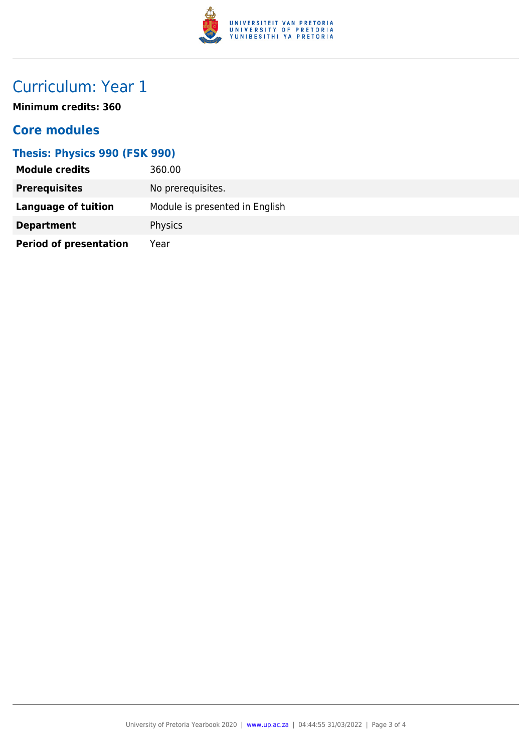

# Curriculum: Year 1

**Minimum credits: 360**

### **Core modules**

#### **Thesis: Physics 990 (FSK 990)**

| <b>Module credits</b>         | 360.00                         |
|-------------------------------|--------------------------------|
| <b>Prerequisites</b>          | No prerequisites.              |
| Language of tuition           | Module is presented in English |
| <b>Department</b>             | Physics                        |
| <b>Period of presentation</b> | Year                           |